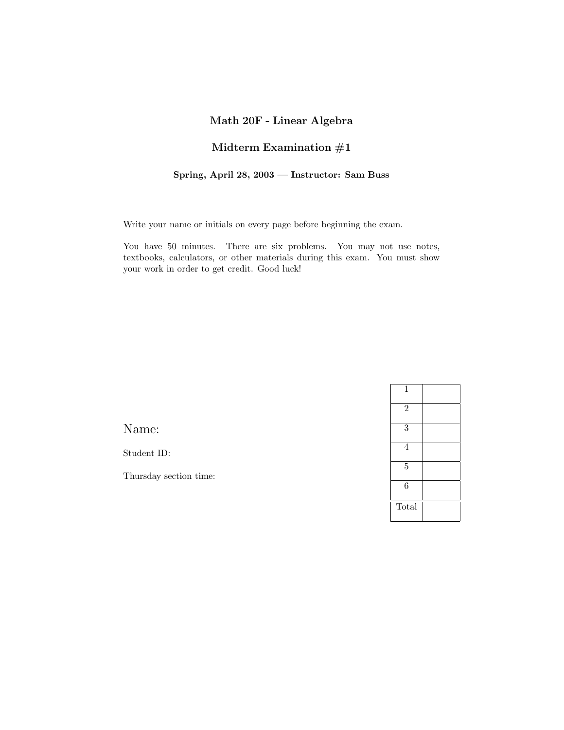## **Math 20F - Linear Algebra**

## **Midterm Examination #1**

## **Spring, April 28, 2003 — Instructor: Sam Buss**

Write your name or initials on every page before beginning the exam.

You have 50 minutes. There are six problems. You may not use notes, textbooks, calculators, or other materials during this exam. You must show your work in order to get credit. Good luck!

Student ID:

Thursday section time:

| $\mathbf 1$    |  |
|----------------|--|
| $\overline{2}$ |  |
| $\overline{3}$ |  |
| 4              |  |
| $\overline{5}$ |  |
| $\overline{6}$ |  |
| Total          |  |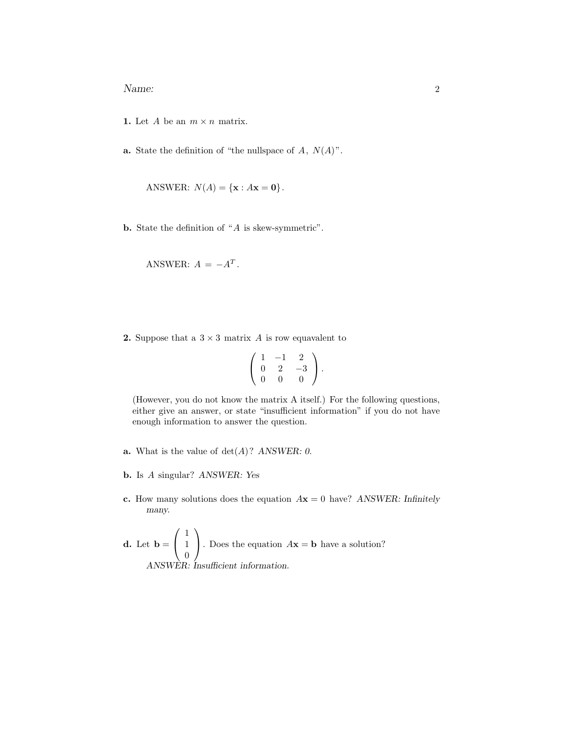- **1.** Let A be an  $m \times n$  matrix.
- **a.** State the definition of "the nullspace of  $A$ ,  $N(A)$ ".

ANSWER:  $N(A) = {\bf x : A \bf x = 0}.$ 

**b.** State the definition of "A is skew-symmetric".

ANSWER:  $A = -A^T$ .

**2.** Suppose that a  $3 \times 3$  matrix A is row equavalent to

$$
\left(\begin{array}{rrr} 1 & -1 & 2 \\ 0 & 2 & -3 \\ 0 & 0 & 0 \end{array}\right).
$$

(However, you do not know the matrix A itself.) For the following questions, either give an answer, or state "insufficient information" if you do not have enough information to answer the question.

- **a.** What is the value of det(A)? *ANSWER: 0.*
- **b.** Is A singular? *ANSWER: Yes*
- **c.** How many solutions does the equation A**x** = 0 have? *ANSWER: Infinitely many.*

**d.** Let **b** = 
$$
\begin{pmatrix} 1 \\ 1 \\ 0 \end{pmatrix}
$$
. Does the equation  $A$ **x** = **b** have a solution?  
ANSWER: Insufficient information.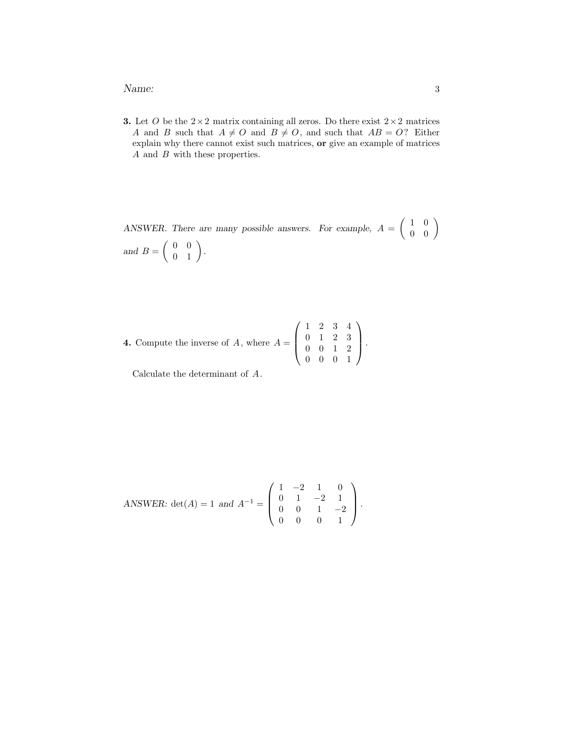## Name: 3

**3.** Let O be the  $2 \times 2$  matrix containing all zeros. Do there exist  $2 \times 2$  matrices A and B such that  $A \neq O$  and  $B \neq O$ , and such that  $AB = O$ ? Either explain why there cannot exist such matrices, **or** give an example of matrices A and B with these properties.

ANSWER. There are many possible answers. For example,  $A = \begin{pmatrix} 1 & 0 \\ 0 & 0 \end{pmatrix}$ and  $B = \left( \begin{array}{cc} 0 & 0 \\ 0 & 1 \end{array} \right)$ .

**4.** Compute the inverse of *A*, where 
$$
A = \begin{pmatrix} 1 & 2 & 3 & 4 \\ 0 & 1 & 2 & 3 \\ 0 & 0 & 1 & 2 \\ 0 & 0 & 0 & 1 \end{pmatrix}
$$
.

Calculate the determinant of A.

ANSWER: det(A) = 1 and 
$$
A^{-1} = \begin{pmatrix} 1 & -2 & 1 & 0 \\ 0 & 1 & -2 & 1 \\ 0 & 0 & 1 & -2 \\ 0 & 0 & 0 & 1 \end{pmatrix}
$$
.